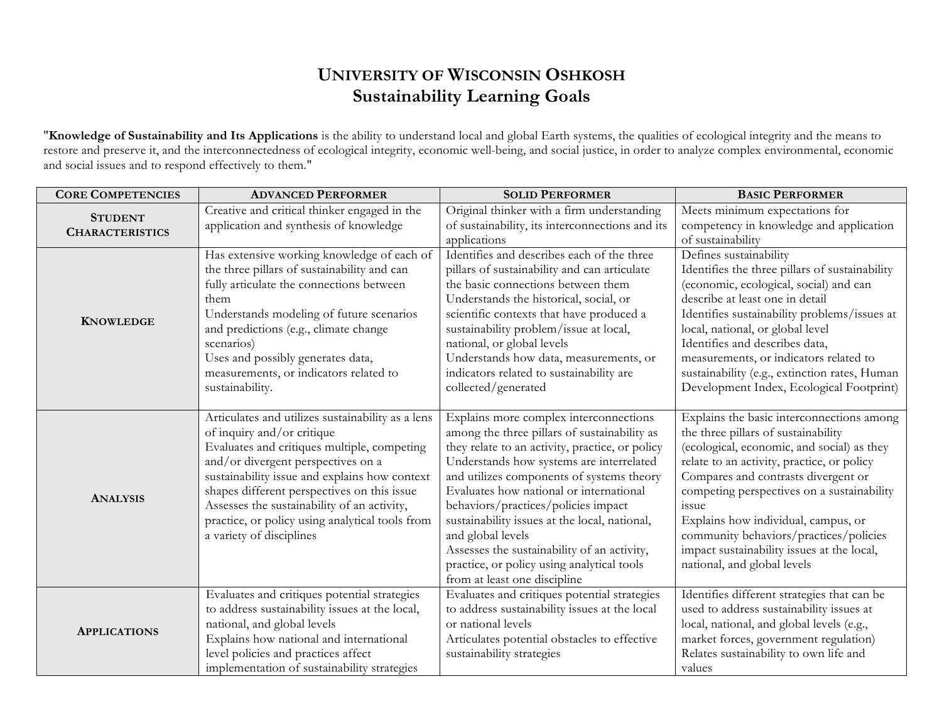## **UNIVERSITY OF WISCONSIN OSHKOSH Sustainability Learning Goals**

"**Knowledge of Sustainability and Its Applications** is the ability to understand local and global Earth systems, the qualities of ecological integrity and the means to restore and preserve it, and the interconnectedness of ecological integrity, economic well-being, and social justice, in order to analyze complex environmental, economic and social issues and to respond effectively to them."

| <b>CORE COMPETENCIES</b>                 | <b>ADVANCED PERFORMER</b>                         | <b>SOLID PERFORMER</b>                          | <b>BASIC PERFORMER</b>                         |
|------------------------------------------|---------------------------------------------------|-------------------------------------------------|------------------------------------------------|
| <b>STUDENT</b><br><b>CHARACTERISTICS</b> | Creative and critical thinker engaged in the      | Original thinker with a firm understanding      | Meets minimum expectations for                 |
|                                          | application and synthesis of knowledge            | of sustainability, its interconnections and its | competency in knowledge and application        |
|                                          |                                                   | applications                                    | of sustainability                              |
| <b>KNOWLEDGE</b>                         | Has extensive working knowledge of each of        | Identifies and describes each of the three      | Defines sustainability                         |
|                                          | the three pillars of sustainability and can       | pillars of sustainability and can articulate    | Identifies the three pillars of sustainability |
|                                          | fully articulate the connections between          | the basic connections between them              | (economic, ecological, social) and can         |
|                                          | them                                              | Understands the historical, social, or          | describe at least one in detail                |
|                                          | Understands modeling of future scenarios          | scientific contexts that have produced a        | Identifies sustainability problems/issues at   |
|                                          | and predictions (e.g., climate change             | sustainability problem/issue at local,          | local, national, or global level               |
|                                          | scenarios)                                        | national, or global levels                      | Identifies and describes data,                 |
|                                          | Uses and possibly generates data,                 | Understands how data, measurements, or          | measurements, or indicators related to         |
|                                          | measurements, or indicators related to            | indicators related to sustainability are        | sustainability (e.g., extinction rates, Human  |
|                                          | sustainability.                                   | collected/generated                             | Development Index, Ecological Footprint)       |
|                                          |                                                   |                                                 |                                                |
| <b>ANALYSIS</b>                          | Articulates and utilizes sustainability as a lens | Explains more complex interconnections          | Explains the basic interconnections among      |
|                                          | of inquiry and/or critique                        | among the three pillars of sustainability as    | the three pillars of sustainability            |
|                                          | Evaluates and critiques multiple, competing       | they relate to an activity, practice, or policy | (ecological, economic, and social) as they     |
|                                          | and/or divergent perspectives on a                | Understands how systems are interrelated        | relate to an activity, practice, or policy     |
|                                          | sustainability issue and explains how context     | and utilizes components of systems theory       | Compares and contrasts divergent or            |
|                                          | shapes different perspectives on this issue       | Evaluates how national or international         | competing perspectives on a sustainability     |
|                                          | Assesses the sustainability of an activity,       | behaviors/practices/policies impact             | issue                                          |
|                                          | practice, or policy using analytical tools from   | sustainability issues at the local, national,   | Explains how individual, campus, or            |
|                                          | a variety of disciplines                          | and global levels                               | community behaviors/practices/policies         |
|                                          |                                                   | Assesses the sustainability of an activity,     | impact sustainability issues at the local,     |
|                                          |                                                   | practice, or policy using analytical tools      | national, and global levels                    |
|                                          |                                                   | from at least one discipline                    |                                                |
|                                          | Evaluates and critiques potential strategies      | Evaluates and critiques potential strategies    | Identifies different strategies that can be    |
| <b>APPLICATIONS</b>                      | to address sustainability issues at the local,    | to address sustainability issues at the local   | used to address sustainability issues at       |
|                                          | national, and global levels                       | or national levels                              | local, national, and global levels (e.g.,      |
|                                          | Explains how national and international           | Articulates potential obstacles to effective    | market forces, government regulation)          |
|                                          | level policies and practices affect               | sustainability strategies                       | Relates sustainability to own life and         |
|                                          | implementation of sustainability strategies       |                                                 | values                                         |